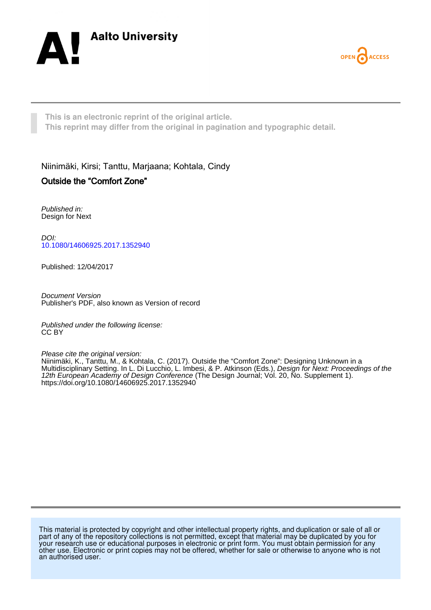



**This is an electronic reprint of the original article. This reprint may differ from the original in pagination and typographic detail.**

Niinimäki, Kirsi; Tanttu, Marjaana; Kohtala, Cindy Outside the "Comfort Zone"

Published in: Design for Next

DOI: [10.1080/14606925.2017.1352940](https://doi.org/10.1080/14606925.2017.1352940)

Published: 12/04/2017

Document Version Publisher's PDF, also known as Version of record

Published under the following license: CC BY

Please cite the original version:

Niinimäki, K., Tanttu, M., & Kohtala, C. (2017). Outside the "Comfort Zone": Designing Unknown in a Multidisciplinary Setting. In L. Di Lucchio, L. Imbesi, & P. Atkinson (Eds.), Design for Next: Proceedings of the 12th European Academy of Design Conference (The Design Journal; Vol. 20, No. Supplement 1). <https://doi.org/10.1080/14606925.2017.1352940>

This material is protected by copyright and other intellectual property rights, and duplication or sale of all or part of any of the repository collections is not permitted, except that material may be duplicated by you for your research use or educational purposes in electronic or print form. You must obtain permission for any other use. Electronic or print copies may not be offered, whether for sale or otherwise to anyone who is not an authorised user.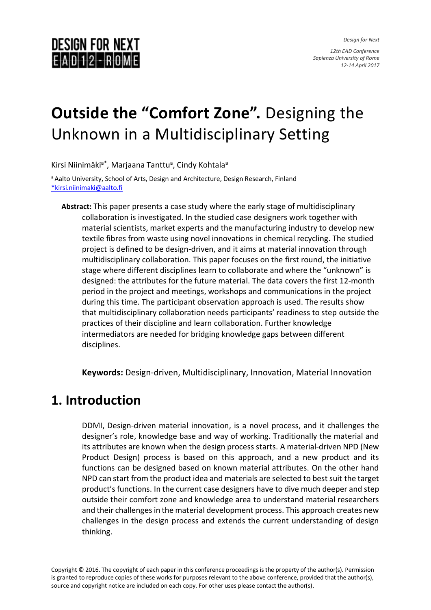*Design for Next*

*12th EAD Conference Sapienza University of Rome 12-14 April 2017*

## **DESIGN FOR NEXT**  $E|A|D|12 - R|OM$

# **Outside the "Comfort Zone".** Designing the Unknown in a Multidisciplinary Setting

Kirsi Niinimäki<sup>a\*</sup>, Marjaana Tanttu<sup>a</sup>, Cindy Kohtala<sup>a</sup>

a Aalto University, School of Arts, Design and Architecture, Design Research, Finland [\\*kirsi.niinimaki@aalto.fi](mailto:*kirsi.niinimaki@aalto.fi)

**Abstract:** This paper presents a case study where the early stage of multidisciplinary collaboration is investigated. In the studied case designers work together with material scientists, market experts and the manufacturing industry to develop new textile fibres from waste using novel innovations in chemical recycling. The studied project is defined to be design-driven, and it aims at material innovation through multidisciplinary collaboration. This paper focuses on the first round, the initiative stage where different disciplines learn to collaborate and where the "unknown" is designed: the attributes for the future material. The data covers the first 12-month period in the project and meetings, workshops and communications in the project during this time. The participant observation approach is used. The results show that multidisciplinary collaboration needs participants' readiness to step outside the practices of their discipline and learn collaboration. Further knowledge intermediators are needed for bridging knowledge gaps between different disciplines.

**Keywords:** Design-driven, Multidisciplinary, Innovation, Material Innovation

## **1. Introduction**

DDMI, Design-driven material innovation, is a novel process, and it challenges the designer's role, knowledge base and way of working. Traditionally the material and its attributes are known when the design process starts. A material-driven NPD (New Product Design) process is based on this approach, and a new product and its functions can be designed based on known material attributes. On the other hand NPD can start from the product idea and materials are selected to best suit the target product's functions. In the current case designers have to dive much deeper and step outside their comfort zone and knowledge area to understand material researchers and their challenges in the material development process. This approach creates new challenges in the design process and extends the current understanding of design thinking.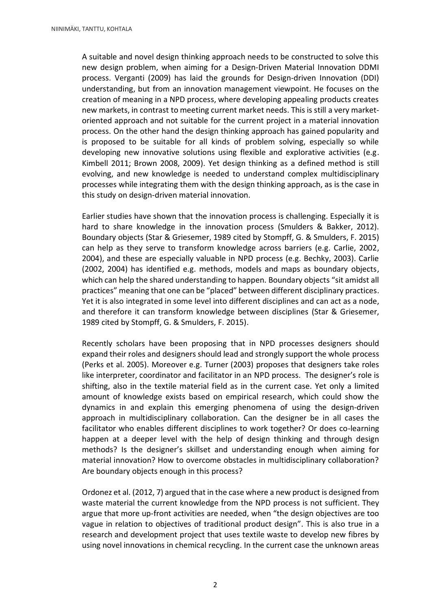A suitable and novel design thinking approach needs to be constructed to solve this new design problem, when aiming for a Design-Driven Material Innovation DDMI process. Verganti (2009) has laid the grounds for Design-driven Innovation (DDI) understanding, but from an innovation management viewpoint. He focuses on the creation of meaning in a NPD process, where developing appealing products creates new markets, in contrast to meeting current market needs. This is still a very marketoriented approach and not suitable for the current project in a material innovation process. On the other hand the design thinking approach has gained popularity and is proposed to be suitable for all kinds of problem solving, especially so while developing new innovative solutions using flexible and explorative activities (e.g. Kimbell 2011; Brown 2008, 2009). Yet design thinking as a defined method is still evolving, and new knowledge is needed to understand complex multidisciplinary processes while integrating them with the design thinking approach, as is the case in this study on design-driven material innovation.

Earlier studies have shown that the innovation process is challenging. Especially it is hard to share knowledge in the innovation process (Smulders & Bakker, 2012). Boundary objects (Star & Griesemer, 1989 cited by Stompff, G. & Smulders, F. 2015) can help as they serve to transform knowledge across barriers (e.g. Carlie, 2002, 2004), and these are especially valuable in NPD process (e.g. Bechky, 2003). Carlie (2002, 2004) has identified e.g. methods, models and maps as boundary objects, which can help the shared understanding to happen. Boundary objects "sit amidst all practices" meaning that one can be "placed" between different disciplinary practices. Yet it is also integrated in some level into different disciplines and can act as a node, and therefore it can transform knowledge between disciplines (Star & Griesemer, 1989 cited by Stompff, G. & Smulders, F. 2015).

Recently scholars have been proposing that in NPD processes designers should expand their roles and designers should lead and strongly support the whole process (Perks et al. 2005). Moreover e.g. Turner (2003) proposes that designers take roles like interpreter, coordinator and facilitator in an NPD process. The designer's role is shifting, also in the textile material field as in the current case. Yet only a limited amount of knowledge exists based on empirical research, which could show the dynamics in and explain this emerging phenomena of using the design-driven approach in multidisciplinary collaboration. Can the designer be in all cases the facilitator who enables different disciplines to work together? Or does co-learning happen at a deeper level with the help of design thinking and through design methods? Is the designer's skillset and understanding enough when aiming for material innovation? How to overcome obstacles in multidisciplinary collaboration? Are boundary objects enough in this process?

Ordonez et al. (2012, 7) argued that in the case where a new product is designed from waste material the current knowledge from the NPD process is not sufficient. They argue that more up-front activities are needed, when "the design objectives are too vague in relation to objectives of traditional product design". This is also true in a research and development project that uses textile waste to develop new fibres by using novel innovations in chemical recycling. In the current case the unknown areas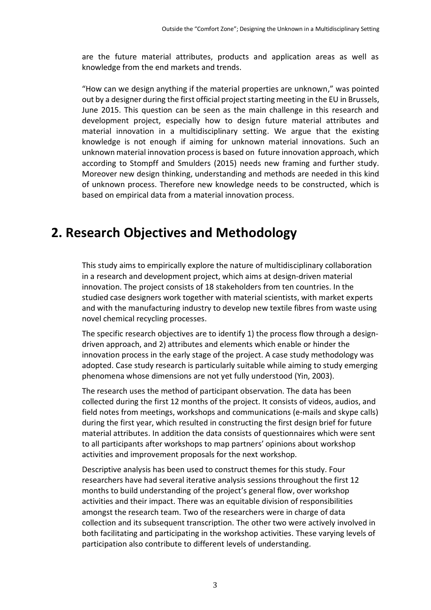are the future material attributes, products and application areas as well as knowledge from the end markets and trends.

"How can we design anything if the material properties are unknown," was pointed out by a designer during the first official project starting meeting in the EU in Brussels, June 2015. This question can be seen as the main challenge in this research and development project, especially how to design future material attributes and material innovation in a multidisciplinary setting. We argue that the existing knowledge is not enough if aiming for unknown material innovations. Such an unknown material innovation process is based on future innovation approach, which according to Stompff and Smulders (2015) needs new framing and further study. Moreover new design thinking, understanding and methods are needed in this kind of unknown process. Therefore new knowledge needs to be constructed, which is based on empirical data from a material innovation process.

## **2. Research Objectives and Methodology**

This study aims to empirically explore the nature of multidisciplinary collaboration in a research and development project, which aims at design-driven material innovation. The project consists of 18 stakeholders from ten countries. In the studied case designers work together with material scientists, with market experts and with the manufacturing industry to develop new textile fibres from waste using novel chemical recycling processes.

The specific research objectives are to identify 1) the process flow through a designdriven approach, and 2) attributes and elements which enable or hinder the innovation process in the early stage of the project. A case study methodology was adopted. Case study research is particularly suitable while aiming to study emerging phenomena whose dimensions are not yet fully understood (Yin, 2003).

The research uses the method of participant observation. The data has been collected during the first 12 months of the project. It consists of videos, audios, and field notes from meetings, workshops and communications (e-mails and skype calls) during the first year, which resulted in constructing the first design brief for future material attributes. In addition the data consists of questionnaires which were sent to all participants after workshops to map partners' opinions about workshop activities and improvement proposals for the next workshop.

Descriptive analysis has been used to construct themes for this study. Four researchers have had several iterative analysis sessions throughout the first 12 months to build understanding of the project's general flow, over workshop activities and their impact. There was an equitable division of responsibilities amongst the research team. Two of the researchers were in charge of data collection and its subsequent transcription. The other two were actively involved in both facilitating and participating in the workshop activities. These varying levels of participation also contribute to different levels of understanding.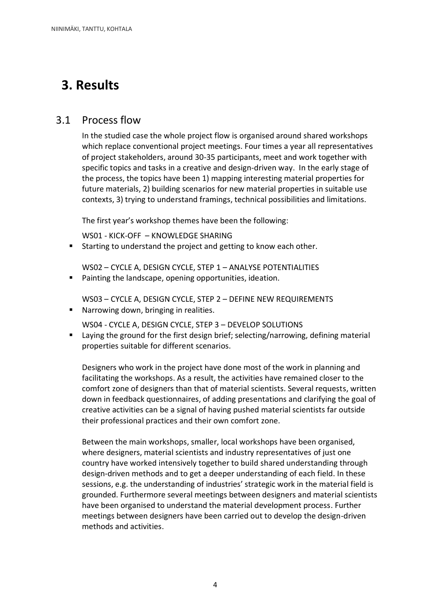## **3. Results**

### 3.1 Process flow

In the studied case the whole project flow is organised around shared workshops which replace conventional project meetings. Four times a year all representatives of project stakeholders, around 30-35 participants, meet and work together with specific topics and tasks in a creative and design-driven way. In the early stage of the process, the topics have been 1) mapping interesting material properties for future materials, 2) building scenarios for new material properties in suitable use contexts, 3) trying to understand framings, technical possibilities and limitations.

The first year's workshop themes have been the following:

WS01 - KICK-OFF – KNOWLEDGE SHARING

**Starting to understand the project and getting to know each other.** 

WS02 – CYCLE A, DESIGN CYCLE, STEP 1 – ANALYSE POTENTIALITIES

- Painting the landscape, opening opportunities, ideation.
	- WS03 CYCLE A, DESIGN CYCLE, STEP 2 DEFINE NEW REQUIREMENTS
- **Narrowing down, bringing in realities.**

WS04 - CYCLE A, DESIGN CYCLE, STEP 3 – DEVELOP SOLUTIONS

 Laying the ground for the first design brief; selecting/narrowing, defining material properties suitable for different scenarios.

Designers who work in the project have done most of the work in planning and facilitating the workshops. As a result, the activities have remained closer to the comfort zone of designers than that of material scientists. Several requests, written down in feedback questionnaires, of adding presentations and clarifying the goal of creative activities can be a signal of having pushed material scientists far outside their professional practices and their own comfort zone.

Between the main workshops, smaller, local workshops have been organised, where designers, material scientists and industry representatives of just one country have worked intensively together to build shared understanding through design-driven methods and to get a deeper understanding of each field. In these sessions, e.g. the understanding of industries' strategic work in the material field is grounded. Furthermore several meetings between designers and material scientists have been organised to understand the material development process. Further meetings between designers have been carried out to develop the design-driven methods and activities.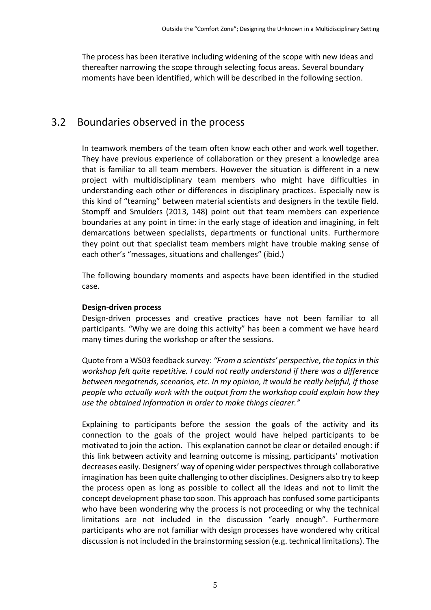The process has been iterative including widening of the scope with new ideas and thereafter narrowing the scope through selecting focus areas. Several boundary moments have been identified, which will be described in the following section.

### 3.2 Boundaries observed in the process

In teamwork members of the team often know each other and work well together. They have previous experience of collaboration or they present a knowledge area that is familiar to all team members. However the situation is different in a new project with multidisciplinary team members who might have difficulties in understanding each other or differences in disciplinary practices. Especially new is this kind of "teaming" between material scientists and designers in the textile field. Stompff and Smulders (2013, 148) point out that team members can experience boundaries at any point in time: in the early stage of ideation and imagining, in felt demarcations between specialists, departments or functional units. Furthermore they point out that specialist team members might have trouble making sense of each other's "messages, situations and challenges" (ibid.)

The following boundary moments and aspects have been identified in the studied case.

#### **Design-driven process**

Design-driven processes and creative practices have not been familiar to all participants. "Why we are doing this activity" has been a comment we have heard many times during the workshop or after the sessions.

Quote from a WS03 feedback survey: *"From a scientists' perspective, the topics in this workshop felt quite repetitive. I could not really understand if there was a difference between megatrends, scenarios, etc. In my opinion, it would be really helpful, if those people who actually work with the output from the workshop could explain how they use the obtained information in order to make things clearer."*

Explaining to participants before the session the goals of the activity and its connection to the goals of the project would have helped participants to be motivated to join the action. This explanation cannot be clear or detailed enough: if this link between activity and learning outcome is missing, participants' motivation decreases easily. Designers' way of opening wider perspectivesthrough collaborative imagination has been quite challenging to other disciplines. Designers also try to keep the process open as long as possible to collect all the ideas and not to limit the concept development phase too soon. This approach has confused some participants who have been wondering why the process is not proceeding or why the technical limitations are not included in the discussion "early enough". Furthermore participants who are not familiar with design processes have wondered why critical discussion is not included in the brainstorming session (e.g. technical limitations). The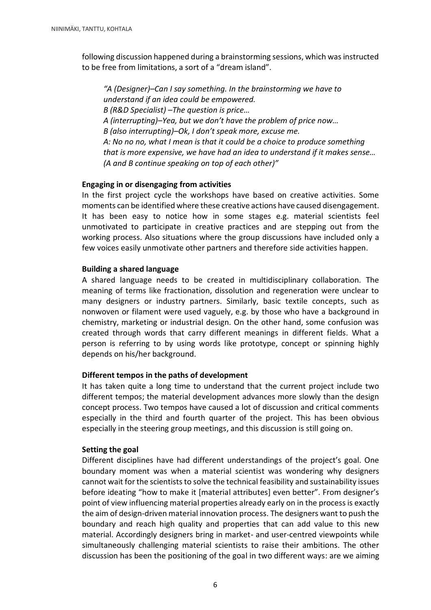following discussion happened during a brainstorming sessions, which was instructed to be free from limitations, a sort of a "dream island".

*"A (Designer)–Can I say something. In the brainstorming we have to understand if an idea could be empowered. B (R&D Specialist) –The question is price… A (interrupting)–Yea, but we don't have the problem of price now… B (also interrupting)–Ok, I don't speak more, excuse me. A: No no no, what I mean is that it could be a choice to produce something that is more expensive, we have had an idea to understand if it makes sense… (A and B continue speaking on top of each other)"*

#### **Engaging in or disengaging from activities**

In the first project cycle the workshops have based on creative activities. Some moments can be identified where these creative actions have caused disengagement. It has been easy to notice how in some stages e.g. material scientists feel unmotivated to participate in creative practices and are stepping out from the working process. Also situations where the group discussions have included only a few voices easily unmotivate other partners and therefore side activities happen.

#### **Building a shared language**

A shared language needs to be created in multidisciplinary collaboration. The meaning of terms like fractionation, dissolution and regeneration were unclear to many designers or industry partners. Similarly, basic textile concepts, such as nonwoven or filament were used vaguely, e.g. by those who have a background in chemistry, marketing or industrial design. On the other hand, some confusion was created through words that carry different meanings in different fields. What a person is referring to by using words like prototype, concept or spinning highly depends on his/her background.

#### **Different tempos in the paths of development**

It has taken quite a long time to understand that the current project include two different tempos; the material development advances more slowly than the design concept process. Two tempos have caused a lot of discussion and critical comments especially in the third and fourth quarter of the project. This has been obvious especially in the steering group meetings, and this discussion is still going on.

#### **Setting the goal**

Different disciplines have had different understandings of the project's goal. One boundary moment was when a material scientist was wondering why designers cannot wait for the scientists to solve the technical feasibility and sustainability issues before ideating "how to make it [material attributes] even better". From designer's point of view influencing material properties already early on in the process is exactly the aim of design-driven material innovation process. The designers want to push the boundary and reach high quality and properties that can add value to this new material. Accordingly designers bring in market- and user-centred viewpoints while simultaneously challenging material scientists to raise their ambitions. The other discussion has been the positioning of the goal in two different ways: are we aiming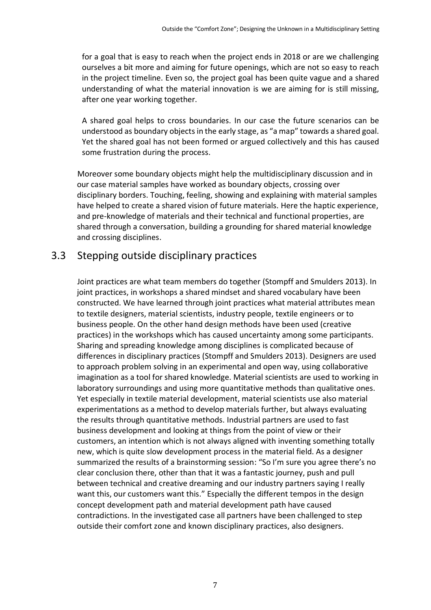for a goal that is easy to reach when the project ends in 2018 or are we challenging ourselves a bit more and aiming for future openings, which are not so easy to reach in the project timeline. Even so, the project goal has been quite vague and a shared understanding of what the material innovation is we are aiming for is still missing, after one year working together.

A shared goal helps to cross boundaries. In our case the future scenarios can be understood as boundary objectsin the early stage, as "a map" towards a shared goal. Yet the shared goal has not been formed or argued collectively and this has caused some frustration during the process.

Moreover some boundary objects might help the multidisciplinary discussion and in our case material samples have worked as boundary objects, crossing over disciplinary borders. Touching, feeling, showing and explaining with material samples have helped to create a shared vision of future materials. Here the haptic experience, and pre-knowledge of materials and their technical and functional properties, are shared through a conversation, building a grounding for shared material knowledge and crossing disciplines.

### 3.3 Stepping outside disciplinary practices

Joint practices are what team members do together (Stompff and Smulders 2013). In joint practices, in workshops a shared mindset and shared vocabulary have been constructed. We have learned through joint practices what material attributes mean to textile designers, material scientists, industry people, textile engineers or to business people. On the other hand design methods have been used (creative practices) in the workshops which has caused uncertainty among some participants. Sharing and spreading knowledge among disciplines is complicated because of differences in disciplinary practices (Stompff and Smulders 2013). Designers are used to approach problem solving in an experimental and open way, using collaborative imagination as a tool for shared knowledge. Material scientists are used to working in laboratory surroundings and using more quantitative methods than qualitative ones. Yet especially in textile material development, material scientists use also material experimentations as a method to develop materials further, but always evaluating the results through quantitative methods. Industrial partners are used to fast business development and looking at things from the point of view or their customers, an intention which is not always aligned with inventing something totally new, which is quite slow development process in the material field. As a designer summarized the results of a brainstorming session: "So I'm sure you agree there's no clear conclusion there, other than that it was a fantastic journey, push and pull between technical and creative dreaming and our industry partners saying I really want this, our customers want this." Especially the different tempos in the design concept development path and material development path have caused contradictions. In the investigated case all partners have been challenged to step outside their comfort zone and known disciplinary practices, also designers.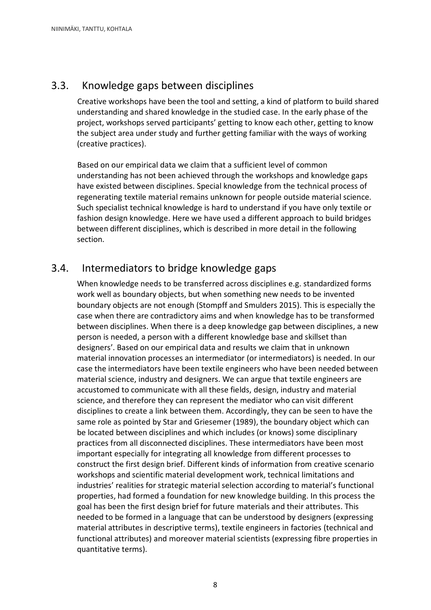### 3.3. Knowledge gaps between disciplines

Creative workshops have been the tool and setting, a kind of platform to build shared understanding and shared knowledge in the studied case. In the early phase of the project, workshops served participants' getting to know each other, getting to know the subject area under study and further getting familiar with the ways of working (creative practices).

Based on our empirical data we claim that a sufficient level of common understanding has not been achieved through the workshops and knowledge gaps have existed between disciplines. Special knowledge from the technical process of regenerating textile material remains unknown for people outside material science. Such specialist technical knowledge is hard to understand if you have only textile or fashion design knowledge. Here we have used a different approach to build bridges between different disciplines, which is described in more detail in the following section.

### 3.4. Intermediators to bridge knowledge gaps

When knowledge needs to be transferred across disciplines e.g. standardized forms work well as boundary objects, but when something new needs to be invented boundary objects are not enough (Stompff and Smulders 2015). This is especially the case when there are contradictory aims and when knowledge has to be transformed between disciplines. When there is a deep knowledge gap between disciplines, a new person is needed, a person with a different knowledge base and skillset than designers'. Based on our empirical data and results we claim that in unknown material innovation processes an intermediator (or intermediators) is needed. In our case the intermediators have been textile engineers who have been needed between material science, industry and designers. We can argue that textile engineers are accustomed to communicate with all these fields, design, industry and material science, and therefore they can represent the mediator who can visit different disciplines to create a link between them. Accordingly, they can be seen to have the same role as pointed by Star and Griesemer (1989), the boundary object which can be located between disciplines and which includes (or knows) some disciplinary practices from all disconnected disciplines. These intermediators have been most important especially for integrating all knowledge from different processes to construct the first design brief. Different kinds of information from creative scenario workshops and scientific material development work, technical limitations and industries' realities for strategic material selection according to material's functional properties, had formed a foundation for new knowledge building. In this process the goal has been the first design brief for future materials and their attributes. This needed to be formed in a language that can be understood by designers (expressing material attributes in descriptive terms), textile engineers in factories (technical and functional attributes) and moreover material scientists (expressing fibre properties in quantitative terms).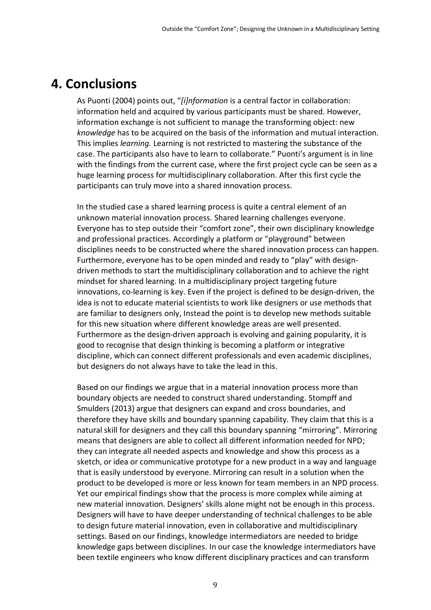### **4. Conclusions**

As Puonti (2004) points out, "*[i]nformation* is a central factor in collaboration: information held and acquired by various participants must be shared. However, information exchange is not sufficient to manage the transforming object: new *knowledge* has to be acquired on the basis of the information and mutual interaction. This implies *learning.* Learning is not restricted to mastering the substance of the case. The participants also have to learn to collaborate." Puonti's argument is in line with the findings from the current case, where the first project cycle can be seen as a huge learning process for multidisciplinary collaboration. After this first cycle the participants can truly move into a shared innovation process.

In the studied case a shared learning process is quite a central element of an unknown material innovation process. Shared learning challenges everyone. Everyone has to step outside their "comfort zone", their own disciplinary knowledge and professional practices. Accordingly a platform or "playground" between disciplines needs to be constructed where the shared innovation process can happen. Furthermore, everyone has to be open minded and ready to "play" with designdriven methods to start the multidisciplinary collaboration and to achieve the right mindset for shared learning. In a multidisciplinary project targeting future innovations, co-learning is key. Even if the project is defined to be design-driven, the idea is not to educate material scientists to work like designers or use methods that are familiar to designers only, Instead the point is to develop new methods suitable for this new situation where different knowledge areas are well presented. Furthermore as the design-driven approach is evolving and gaining popularity, it is good to recognise that design thinking is becoming a platform or integrative discipline, which can connect different professionals and even academic disciplines, but designers do not always have to take the lead in this.

Based on our findings we argue that in a material innovation process more than boundary objects are needed to construct shared understanding. Stompff and Smulders (2013) argue that designers can expand and cross boundaries, and therefore they have skills and boundary spanning capability. They claim that this is a natural skill for designers and they call this boundary spanning "mirroring". Mirroring means that designers are able to collect all different information needed for NPD; they can integrate all needed aspects and knowledge and show this process as a sketch, or idea or communicative prototype for a new product in a way and language that is easily understood by everyone. Mirroring can result in a solution when the product to be developed is more or less known for team members in an NPD process. Yet our empirical findings show that the process is more complex while aiming at new material innovation. Designers' skills alone might not be enough in this process. Designers will have to have deeper understanding of technical challenges to be able to design future material innovation, even in collaborative and multidisciplinary settings. Based on our findings, knowledge intermediators are needed to bridge knowledge gaps between disciplines. In our case the knowledge intermediators have been textile engineers who know different disciplinary practices and can transform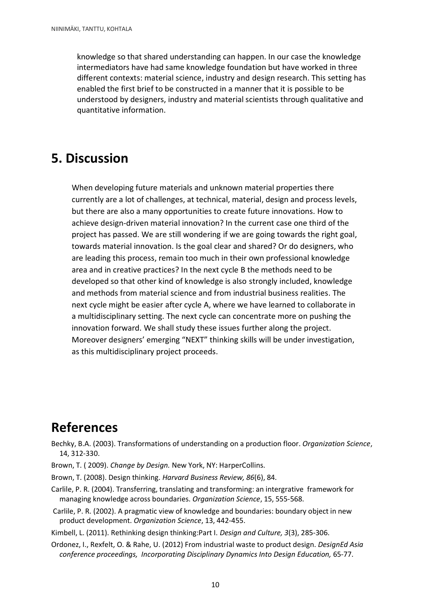knowledge so that shared understanding can happen. In our case the knowledge intermediators have had same knowledge foundation but have worked in three different contexts: material science, industry and design research. This setting has enabled the first brief to be constructed in a manner that it is possible to be understood by designers, industry and material scientists through qualitative and quantitative information.

## **5. Discussion**

When developing future materials and unknown material properties there currently are a lot of challenges, at technical, material, design and process levels, but there are also a many opportunities to create future innovations. How to achieve design-driven material innovation? In the current case one third of the project has passed. We are still wondering if we are going towards the right goal, towards material innovation. Is the goal clear and shared? Or do designers, who are leading this process, remain too much in their own professional knowledge area and in creative practices? In the next cycle B the methods need to be developed so that other kind of knowledge is also strongly included, knowledge and methods from material science and from industrial business realities. The next cycle might be easier after cycle A, where we have learned to collaborate in a multidisciplinary setting. The next cycle can concentrate more on pushing the innovation forward. We shall study these issues further along the project. Moreover designers' emerging "NEXT" thinking skills will be under investigation, as this multidisciplinary project proceeds.

## **References**

Bechky, B.A. (2003). Transformations of understanding on a production floor. *Organization Science*, 14, 312-330.

- Brown, T. ( 2009). *Change by Design.* New York, NY: HarperCollins.
- Brown, T. (2008). Design thinking. *Harvard Business Review, 86*(6), 84.
- Carlile, P. R. (2004). Transferring, translating and transforming: an intergrative framework for managing knowledge across boundaries. *Organization Science*, 15, 555-568.
- Carlile, P. R. (2002). A pragmatic view of knowledge and boundaries: boundary object in new product development. *Organization Science*, 13, 442-455.
- Kimbell, L. (2011). Rethinking design thinking:Part I. *Design and Culture, 3*(3), 285-306.
- Ordonez, I., Rexfelt, O. & Rahe, U. (2012) From industrial waste to product design. *DesignEd Asia conference proceedings, Incorporating Disciplinary Dynamics Into Design Education,* 65-77.